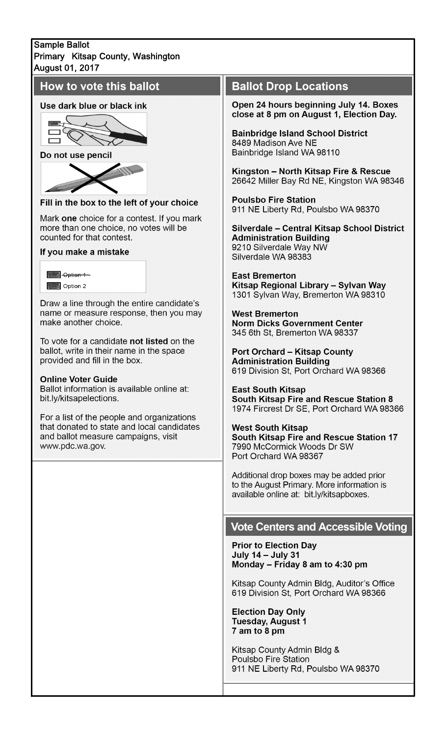### **Sample Ballot** Primary Kitsap County, Washington **August 01, 2017**

# How to vote this ballot

#### Use dark blue or black ink



Do not use pencil



Fill in the box to the left of your choice

Mark one choice for a contest. If you mark more than one choice, no votes will be counted for that contest.

#### If you make a mistake

| <del>lotion i</del> |  |
|---------------------|--|
| Option 2            |  |

Draw a line through the entire candidate's name or measure response, then you may make another choice.

To vote for a candidate not listed on the ballot, write in their name in the space provided and fill in the box.

#### **Online Voter Guide**

Ballot information is available online at: bit.ly/kitsapelections.

For a list of the people and organizations that donated to state and local candidates and ballot measure campaigns, visit www.pdc.wa.gov.

# **Ballot Drop Locations**

Open 24 hours beginning July 14. Boxes close at 8 pm on August 1, Election Day.

**Bainbridge Island School District** 8489 Madison Ave NE Bainbridge Island WA 98110

Kingston - North Kitsap Fire & Rescue 26642 Miller Bay Rd NE, Kingston WA 98346

**Poulsbo Fire Station** 911 NE Liberty Rd, Poulsbo WA 98370

Silverdale - Central Kitsap School District **Administration Building** 9210 Silverdale Way NW Silverdale WA 98383

**East Bremerton** Kitsap Regional Library - Sylvan Way 1301 Sylvan Way, Bremerton WA 98310

**West Bremerton Norm Dicks Government Center** 345 6th St, Bremerton WA 98337

**Port Orchard - Kitsap County Administration Building** 619 Division St, Port Orchard WA 98366

**East South Kitsap South Kitsap Fire and Rescue Station 8** 1974 Fircrest Dr SE, Port Orchard WA 98366

**West South Kitsap** South Kitsap Fire and Rescue Station 17 7990 McCormick Woods Dr SW Port Orchard WA 98367

Additional drop boxes may be added prior to the August Primary. More information is available online at: bit.ly/kitsapboxes.

## **Vote Centers and Accessible Voting**

**Prior to Election Day** July 14 - July 31 Monday - Friday 8 am to 4:30 pm

Kitsap County Admin Bldg, Auditor's Office 619 Division St, Port Orchard WA 98366

**Election Day Only Tuesday, August 1** 7 am to 8 pm

Kitsap County Admin Bldg & Poulsbo Fire Station 911 NE Liberty Rd, Poulsbo WA 98370